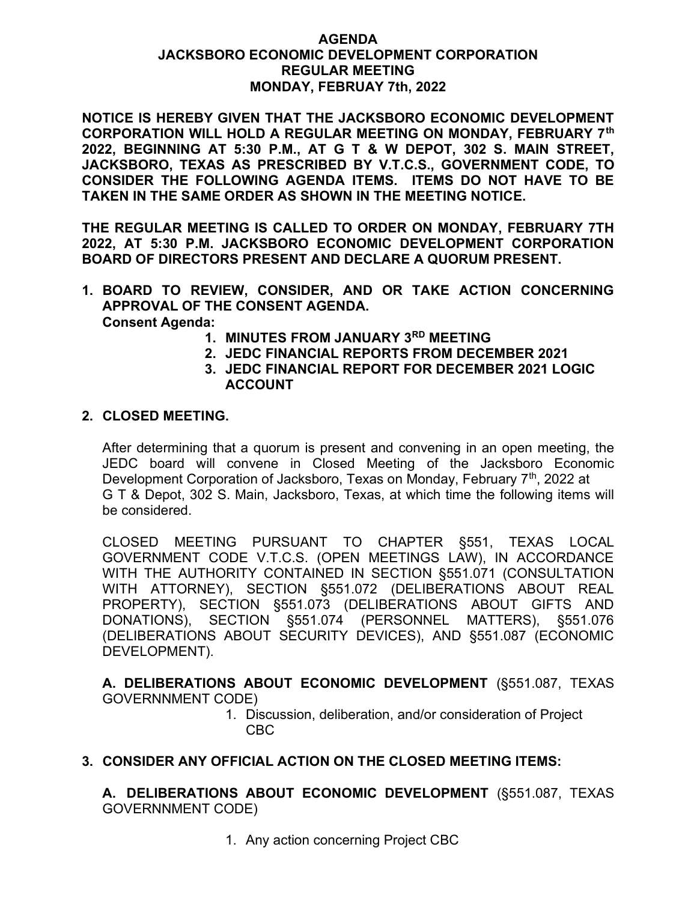## AGENDA JACKSBORO ECONOMIC DEVELOPMENT CORPORATION REGULAR MEETING MONDAY, FEBRUAY 7th, 2022

NOTICE IS HEREBY GIVEN THAT THE JACKSBORO ECONOMIC DEVELOPMENT CORPORATION WILL HOLD A REGULAR MEETING ON MONDAY, FEBRUARY 7th 2022, BEGINNING AT 5:30 P.M., AT G T & W DEPOT, 302 S. MAIN STREET, JACKSBORO, TEXAS AS PRESCRIBED BY V.T.C.S., GOVERNMENT CODE, TO CONSIDER THE FOLLOWING AGENDA ITEMS. ITEMS DO NOT HAVE TO BE TAKEN IN THE SAME ORDER AS SHOWN IN THE MEETING NOTICE.

THE REGULAR MEETING IS CALLED TO ORDER ON MONDAY, FEBRUARY 7TH 2022, AT 5:30 P.M. JACKSBORO ECONOMIC DEVELOPMENT CORPORATION BOARD OF DIRECTORS PRESENT AND DECLARE A QUORUM PRESENT.

- 1. BOARD TO REVIEW, CONSIDER, AND OR TAKE ACTION CONCERNING APPROVAL OF THE CONSENT AGENDA. Consent Agenda:
	- 1. MINUTES FROM JANUARY 3RD MEETING
	- 2. JEDC FINANCIAL REPORTS FROM DECEMBER 2021
	- 3. JEDC FINANCIAL REPORT FOR DECEMBER 2021 LOGIC ACCOUNT

## 2. CLOSED MEETING.

After determining that a quorum is present and convening in an open meeting, the JEDC board will convene in Closed Meeting of the Jacksboro Economic Development Corporation of Jacksboro, Texas on Monday, February 7<sup>th</sup>, 2022 at G T & Depot, 302 S. Main, Jacksboro, Texas, at which time the following items will be considered.

CLOSED MEETING PURSUANT TO CHAPTER §551, TEXAS LOCAL GOVERNMENT CODE V.T.C.S. (OPEN MEETINGS LAW), IN ACCORDANCE WITH THE AUTHORITY CONTAINED IN SECTION §551.071 (CONSULTATION WITH ATTORNEY), SECTION §551.072 (DELIBERATIONS ABOUT REAL PROPERTY), SECTION §551.073 (DELIBERATIONS ABOUT GIFTS AND DONATIONS), SECTION §551.074 (PERSONNEL MATTERS), §551.076 (DELIBERATIONS ABOUT SECURITY DEVICES), AND §551.087 (ECONOMIC DEVELOPMENT).

A. DELIBERATIONS ABOUT ECONOMIC DEVELOPMENT (§551.087, TEXAS GOVERNNMENT CODE)

> 1. Discussion, deliberation, and/or consideration of Project CBC

## 3. CONSIDER ANY OFFICIAL ACTION ON THE CLOSED MEETING ITEMS:

A. DELIBERATIONS ABOUT ECONOMIC DEVELOPMENT (§551.087, TEXAS GOVERNNMENT CODE)

1. Any action concerning Project CBC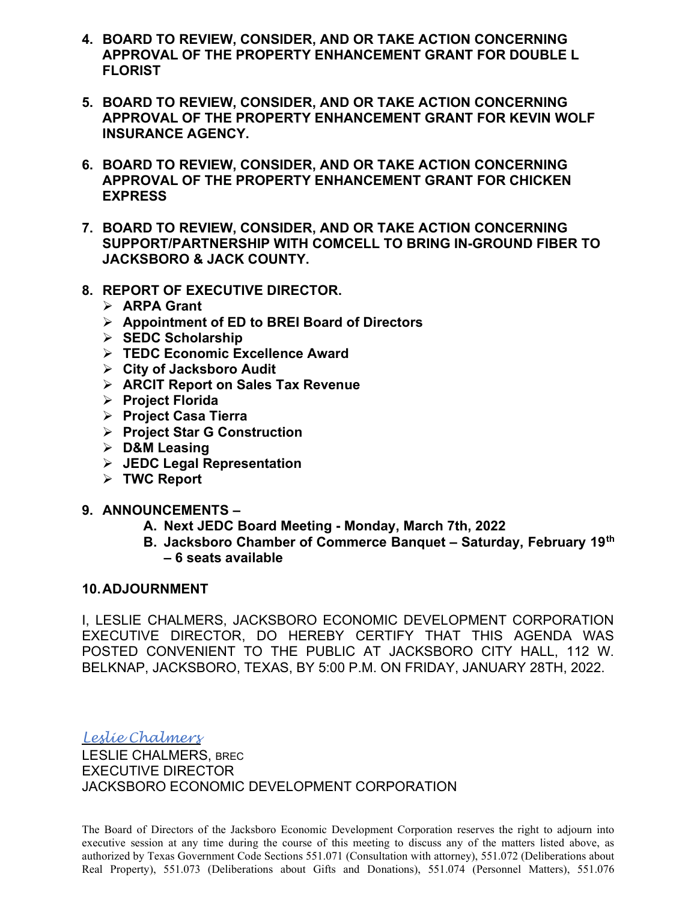- 4. BOARD TO REVIEW, CONSIDER, AND OR TAKE ACTION CONCERNING APPROVAL OF THE PROPERTY ENHANCEMENT GRANT FOR DOUBLE L FLORIST
- 5. BOARD TO REVIEW, CONSIDER, AND OR TAKE ACTION CONCERNING APPROVAL OF THE PROPERTY ENHANCEMENT GRANT FOR KEVIN WOLF INSURANCE AGENCY.
- 6. BOARD TO REVIEW, CONSIDER, AND OR TAKE ACTION CONCERNING APPROVAL OF THE PROPERTY ENHANCEMENT GRANT FOR CHICKEN **EXPRESS**
- 7. BOARD TO REVIEW, CONSIDER, AND OR TAKE ACTION CONCERNING SUPPORT/PARTNERSHIP WITH COMCELL TO BRING IN-GROUND FIBER TO JACKSBORO & JACK COUNTY.
- 8. REPORT OF EXECUTIVE DIRECTOR.
	- $\triangleright$  ARPA Grant
	- $\triangleright$  Appointment of ED to BREI Board of Directors
	- $\triangleright$  SEDC Scholarship
	- > TEDC Economic Excellence Award
	- $\triangleright$  City of Jacksboro Audit
	- $\triangleright$  ARCIT Report on Sales Tax Revenue
	- $\triangleright$  Project Florida
	- $\triangleright$  Project Casa Tierra
	- $\triangleright$  Project Star G Construction
	- $\triangleright$  D&M Leasing
	- $\triangleright$  JEDC Legal Representation
	- $\triangleright$  TWC Report
- 9. ANNOUNCEMENTS
	- A. Next JEDC Board Meeting Monday, March 7th, 2022
	- B. Jacksboro Chamber of Commerce Banquet Saturday, February 19th – 6 seats available

## 10. ADJOURNMENT

I, LESLIE CHALMERS, JACKSBORO ECONOMIC DEVELOPMENT CORPORATION EXECUTIVE DIRECTOR, DO HEREBY CERTIFY THAT THIS AGENDA WAS POSTED CONVENIENT TO THE PUBLIC AT JACKSBORO CITY HALL, 112 W. BELKNAP, JACKSBORO, TEXAS, BY 5:00 P.M. ON FRIDAY, JANUARY 28TH, 2022.

Leslie Chalmers

LESLIE CHALMERS, BREC EXECUTIVE DIRECTOR JACKSBORO ECONOMIC DEVELOPMENT CORPORATION

The Board of Directors of the Jacksboro Economic Development Corporation reserves the right to adjourn into executive session at any time during the course of this meeting to discuss any of the matters listed above, as authorized by Texas Government Code Sections 551.071 (Consultation with attorney), 551.072 (Deliberations about Real Property), 551.073 (Deliberations about Gifts and Donations), 551.074 (Personnel Matters), 551.076